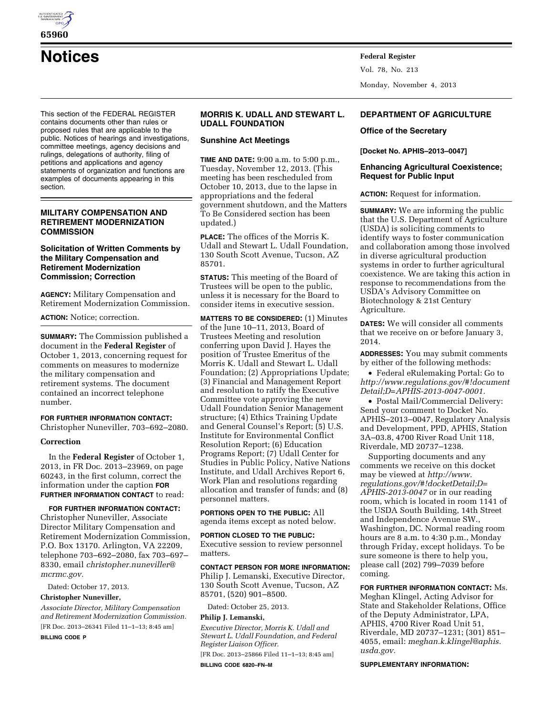

**65960** 

**Notices Federal Register**

This section of the FEDERAL REGISTER contains documents other than rules or proposed rules that are applicable to the public. Notices of hearings and investigations, committee meetings, agency decisions and rulings, delegations of authority, filing of petitions and applications and agency statements of organization and functions are examples of documents appearing in this section.

# **MILITARY COMPENSATION AND RETIREMENT MODERNIZATION COMMISSION**

# **Solicitation of Written Comments by the Military Compensation and Retirement Modernization Commission; Correction**

**AGENCY:** Military Compensation and Retirement Modernization Commission.

**ACTION:** Notice; correction.

**SUMMARY:** The Commission published a document in the **Federal Register** of October 1, 2013, concerning request for comments on measures to modernize the military compensation and retirement systems. The document contained an incorrect telephone number.

**FOR FURTHER INFORMATION CONTACT:**  Christopher Nuneviller, 703–692–2080.

# **Correction**

In the **Federal Register** of October 1, 2013, in FR Doc. 2013–23969, on page 60243, in the first column, correct the information under the caption **FOR FURTHER INFORMATION CONTACT** to read:

**FOR FURTHER INFORMATION CONTACT:**  Christopher Nuneviller, Associate Director Military Compensation and Retirement Modernization Commission, P.O. Box 13170. Arlington, VA 22209, telephone 703–692–2080, fax 703–697– 8330, email *[christopher.nuneviller@](mailto:christopher.nuneviller@mcrmc.gov) [mcrmc.gov.](mailto:christopher.nuneviller@mcrmc.gov)* 

Dated: October 17, 2013.

#### **Christopher Nuneviller,**

*Associate Director, Military Compensation and Retirement Modernization Commission.*  [FR Doc. 2013–26341 Filed 11–1–13; 8:45 am]

**BILLING CODE P** 

# **MORRIS K. UDALL AND STEWART L. UDALL FOUNDATION**

### **Sunshine Act Meetings**

**TIME AND DATE:** 9:00 a.m. to 5:00 p.m., Tuesday, November 12, 2013. (This meeting has been rescheduled from October 10, 2013, due to the lapse in appropriations and the federal government shutdown, and the Matters To Be Considered section has been updated.)

**PLACE:** The offices of the Morris K. Udall and Stewart L. Udall Foundation, 130 South Scott Avenue, Tucson, AZ 85701.

**STATUS:** This meeting of the Board of Trustees will be open to the public, unless it is necessary for the Board to consider items in executive session.

**MATTERS TO BE CONSIDERED:** (1) Minutes of the June 10–11, 2013, Board of Trustees Meeting and resolution conferring upon David J. Hayes the position of Trustee Emeritus of the Morris K. Udall and Stewart L. Udall Foundation; (2) Appropriations Update; (3) Financial and Management Report and resolution to ratify the Executive Committee vote approving the new Udall Foundation Senior Management structure; (4) Ethics Training Update and General Counsel's Report; (5) U.S. Institute for Environmental Conflict Resolution Report; (6) Education Programs Report; (7) Udall Center for Studies in Public Policy, Native Nations Institute, and Udall Archives Report 6, Work Plan and resolutions regarding allocation and transfer of funds; and (8) personnel matters.

**PORTIONS OPEN TO THE PUBLIC:** All agenda items except as noted below.

**PORTION CLOSED TO THE PUBLIC:** 

Executive session to review personnel matters.

### **CONTACT PERSON FOR MORE INFORMATION:**

Philip J. Lemanski, Executive Director, 130 South Scott Avenue, Tucson, AZ 85701, (520) 901–8500.

Dated: October 25, 2013.

### **Philip J. Lemanski,**

*Executive Director, Morris K. Udall and Stewart L. Udall Foundation, and Federal Register Liaison Officer.* 

[FR Doc. 2013–25866 Filed 11–1–13; 8:45 am] **BILLING CODE 6820–FN–M** 

# **DEPARTMENT OF AGRICULTURE**

# **Office of the Secretary**

Monday, November 4, 2013

Vol. 78, No. 213

### **[Docket No. APHIS–2013–0047]**

# **Enhancing Agricultural Coexistence; Request for Public Input**

**ACTION:** Request for information.

**SUMMARY:** We are informing the public that the U.S. Department of Agriculture (USDA) is soliciting comments to identify ways to foster communication and collaboration among those involved in diverse agricultural production systems in order to further agricultural coexistence. We are taking this action in response to recommendations from the USDA's Advisory Committee on Biotechnology & 21st Century Agriculture.

**DATES:** We will consider all comments that we receive on or before January 3, 2014.

**ADDRESSES:** You may submit comments by either of the following methods:

• Federal eRulemaking Portal: Go to *[http://www.regulations.gov/#!document](http://www.regulations.gov/#!documentDetail;D=APHIS-2013-0047-0001) [Detail;D=APHIS-2013-0047-0001.](http://www.regulations.gov/#!documentDetail;D=APHIS-2013-0047-0001)* 

• Postal Mail/Commercial Delivery: Send your comment to Docket No. APHIS–2013–0047, Regulatory Analysis and Development, PPD, APHIS, Station 3A–03.8, 4700 River Road Unit 118, Riverdale, MD 20737–1238.

Supporting documents and any comments we receive on this docket may be viewed at *[http://www.](http://www.regulations.gov/#!docketDetail;D=APHIS-2013-0047) [regulations.gov/#!docketDetail;D=](http://www.regulations.gov/#!docketDetail;D=APHIS-2013-0047) [APHIS-2013-0047](http://www.regulations.gov/#!docketDetail;D=APHIS-2013-0047)* or in our reading room, which is located in room 1141 of the USDA South Building, 14th Street and Independence Avenue SW., Washington, DC. Normal reading room hours are 8 a.m. to 4:30 p.m., Monday through Friday, except holidays. To be sure someone is there to help you, please call (202) 799–7039 before coming.

**FOR FURTHER INFORMATION CONTACT:** Ms. Meghan Klingel, Acting Advisor for State and Stakeholder Relations, Office of the Deputy Administrator, LPA, APHIS, 4700 River Road Unit 51, Riverdale, MD 20737–1231; (301) 851– 4055, email: *[meghan.k.klingel@aphis.](mailto:meghan.k.klingel@aphis.usda.gov) [usda.gov.](mailto:meghan.k.klingel@aphis.usda.gov)* 

#### **SUPPLEMENTARY INFORMATION:**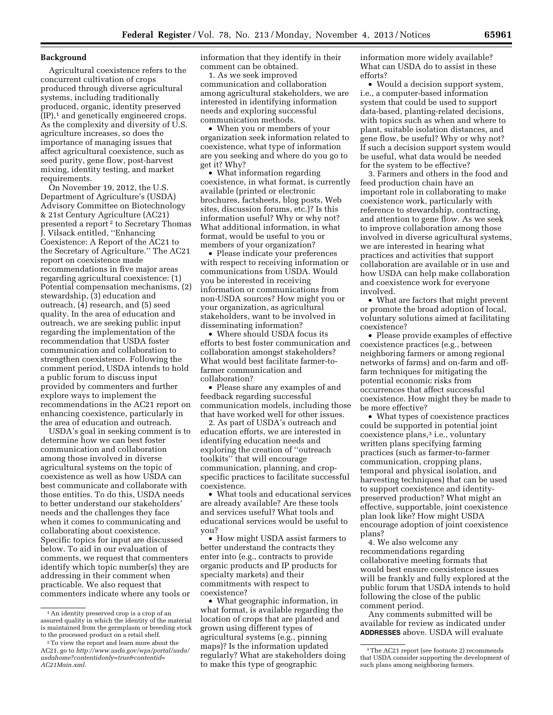#### **Background**

Agricultural coexistence refers to the concurrent cultivation of crops produced through diverse agricultural systems, including traditionally produced, organic, identity preserved (IP),1 and genetically engineered crops. As the complexity and diversity of U.S. agriculture increases, so does the importance of managing issues that affect agricultural coexistence, such as seed purity, gene flow, post-harvest mixing, identity testing, and market requirements.

On November 19, 2012, the U.S. Department of Agriculture's (USDA) Advisory Committee on Biotechnology & 21st Century Agriculture (AC21) presented a report 2 to Secretary Thomas J. Vilsack entitled, ''Enhancing Coexistence: A Report of the AC21 to the Secretary of Agriculture.'' The AC21 report on coexistence made recommendations in five major areas regarding agricultural coexistence: (1) Potential compensation mechanisms, (2) stewardship, (3) education and outreach, (4) research, and (5) seed quality. In the area of education and outreach, we are seeking public input regarding the implementation of the recommendation that USDA foster communication and collaboration to strengthen coexistence. Following the comment period, USDA intends to hold a public forum to discuss input provided by commenters and further explore ways to implement the recommendations in the AC21 report on enhancing coexistence, particularly in the area of education and outreach.

USDA's goal in seeking comment is to determine how we can best foster communication and collaboration among those involved in diverse agricultural systems on the topic of coexistence as well as how USDA can best communicate and collaborate with those entities. To do this, USDA needs to better understand our stakeholders' needs and the challenges they face when it comes to communicating and collaborating about coexistence. Specific topics for input are discussed below. To aid in our evaluation of comments, we request that commenters identify which topic number(s) they are addressing in their comment when practicable. We also request that commenters indicate where any tools or

information that they identify in their comment can be obtained.

1. As we seek improved communication and collaboration among agricultural stakeholders, we are interested in identifying information needs and exploring successful communication methods.

• When you or members of your organization seek information related to coexistence, what type of information are you seeking and where do you go to get it? Why?

• What information regarding coexistence, in what format, is currently available (printed or electronic brochures, factsheets, blog posts, Web sites, discussion forums, etc.)? Is this information useful? Why or why not? What additional information, in what format, would be useful to you or members of your organization?

• Please indicate your preferences with respect to receiving information or communications from USDA. Would you be interested in receiving information or communications from non-USDA sources? How might you or your organization, as agricultural stakeholders, want to be involved in disseminating information?

• Where should USDA focus its efforts to best foster communication and collaboration amongst stakeholders? What would best facilitate farmer-tofarmer communication and collaboration?

• Please share any examples of and feedback regarding successful communication models, including those that have worked well for other issues.

2. As part of USDA's outreach and education efforts, we are interested in identifying education needs and exploring the creation of ''outreach toolkits'' that will encourage communication, planning, and cropspecific practices to facilitate successful coexistence.

• What tools and educational services are already available? Are these tools and services useful? What tools and educational services would be useful to you?

• How might USDA assist farmers to better understand the contracts they enter into (e.g., contracts to provide organic products and IP products for specialty markets) and their commitments with respect to coexistence?

• What geographic information, in what format, is available regarding the location of crops that are planted and grown using different types of agricultural systems (e.g., pinning maps)? Is the information updated regularly? What are stakeholders doing to make this type of geographic

information more widely available? What can USDA do to assist in these efforts?

• Would a decision support system, i.e., a computer-based information system that could be used to support data-based, planting-related decisions, with topics such as when and where to plant, suitable isolation distances, and gene flow, be useful? Why or why not? If such a decision support system would be useful, what data would be needed for the system to be effective?

3. Farmers and others in the food and feed production chain have an important role in collaborating to make coexistence work, particularly with reference to stewardship, contracting, and attention to gene flow. As we seek to improve collaboration among those involved in diverse agricultural systems, we are interested in hearing what practices and activities that support collaboration are available or in use and how USDA can help make collaboration and coexistence work for everyone involved.

• What are factors that might prevent or promote the broad adoption of local, voluntary solutions aimed at facilitating coexistence?

• Please provide examples of effective coexistence practices (e.g., between neighboring farmers or among regional networks of farms) and on-farm and offfarm techniques for mitigating the potential economic risks from occurrences that affect successful coexistence. How might they be made to be more effective?

• What types of coexistence practices could be supported in potential joint coexistence plans,<sup>3</sup> i.e., voluntary written plans specifying farming practices (such as farmer-to-farmer communication, cropping plans, temporal and physical isolation, and harvesting techniques) that can be used to support coexistence and identitypreserved production? What might an effective, supportable, joint coexistence plan look like? How might USDA encourage adoption of joint coexistence plans?

4. We also welcome any recommendations regarding collaborative meeting formats that would best ensure coexistence issues will be frankly and fully explored at the public forum that USDA intends to hold following the close of the public comment period.

Any comments submitted will be available for review as indicated under **ADDRESSES** above. USDA will evaluate

<sup>1</sup>An identity preserved crop is a crop of an assured quality in which the identity of the material is maintained from the germplasm or breeding stock to the processed product on a retail shelf.

<sup>2</sup>To view the report and learn more about the AC21, go to *[http://www.usda.gov/wps/portal/usda/](http://www.usda.gov/wps/portal/usda/usdahome?contentidonly=true&contentid=AC21Main.xml)  [usdahome?contentidonly=true&contentid=](http://www.usda.gov/wps/portal/usda/usdahome?contentidonly=true&contentid=AC21Main.xml) [AC21Main.xml.](http://www.usda.gov/wps/portal/usda/usdahome?contentidonly=true&contentid=AC21Main.xml)* 

<sup>3</sup>The AC21 report (see footnote 2) recommends that USDA consider supporting the development of such plans among neighboring farmers.